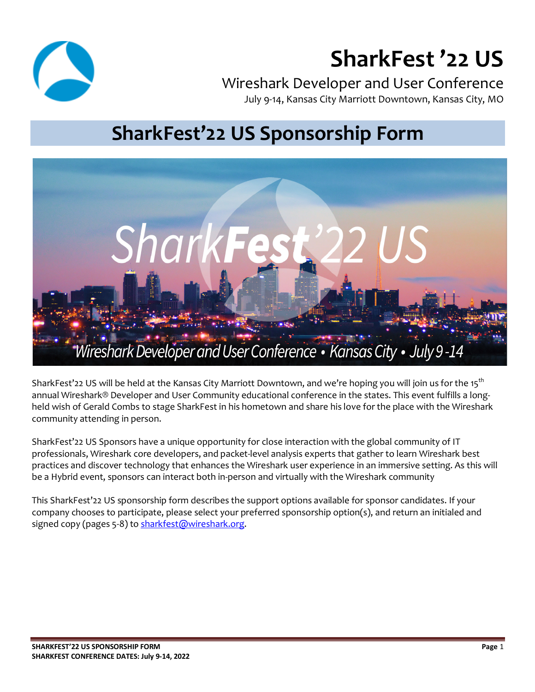

# **SharkFest '22 US**

Wireshark Developer and User Conference July 9-14, Kansas City Marriott Downtown, Kansas City, MO

# **SharkFest'22 US Sponsorship Form**



SharkFest'22 US will be held at the Kansas City Marriott Downtown, and we're hoping you will join us for the 15<sup>th</sup> annual Wireshark® Developer and User Community educational conference in the states. This event fulfills a longheld wish of Gerald Combs to stage SharkFest in his hometown and share his love for the place with the Wireshark community attending in person.

SharkFest'22 US Sponsors have a unique opportunity for close interaction with the global community of IT professionals, Wireshark core developers, and packet-level analysis experts that gather to learn Wireshark best practices and discover technology that enhances the Wireshark user experience in an immersive setting. As this will be a Hybrid event, sponsors can interact both in-person and virtually with the Wireshark community

This SharkFest'22 US sponsorship form describes the support options available for sponsor candidates. If your company chooses to participate, please select your preferred sponsorship option(s), and return an initialed and signed copy (pages 5-8) to sharkfest@wireshark.org.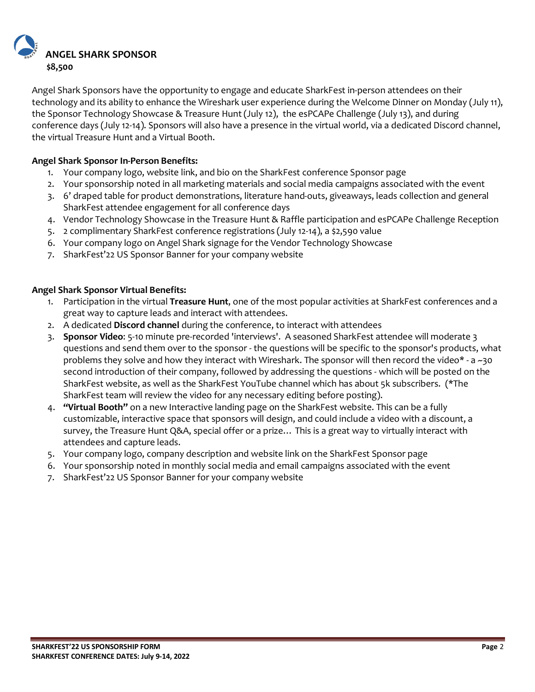

Angel Shark Sponsors have the opportunity to engage and educate SharkFest in-person attendees on their technology and its ability to enhance the Wireshark user experience during the Welcome Dinner on Monday (July 11), the Sponsor Technology Showcase & Treasure Hunt (July 12), the esPCAPe Challenge (July 13), and during conference days (July 12-14). Sponsors will also have a presence in the virtual world, via a dedicated Discord channel, the virtual Treasure Hunt and a Virtual Booth.

#### **Angel Shark Sponsor In-Person Benefits:**

- 1. Your company logo, website link, and bio on the SharkFest conference Sponsor page
- 2. Your sponsorship noted in all marketing materials and social media campaigns associated with the event
- 3. 6' draped table for product demonstrations, literature hand-outs, giveaways, leads collection and general SharkFest attendee engagement for all conference days
- 4. Vendor Technology Showcase in the Treasure Hunt & Raffle participation and esPCAPe Challenge Reception
- 5. 2 complimentary SharkFest conference registrations (July 12-14), a \$2,590 value
- 6. Your company logo on Angel Shark signage for the Vendor Technology Showcase
- 7. SharkFest'22 US Sponsor Banner for your company website

#### **Angel Shark Sponsor Virtual Benefits:**

- 1. Participation in the virtual **Treasure Hunt**, one of the most popular activities at SharkFest conferences and a great way to capture leads and interact with attendees.
- 2. A dedicated **Discord channel** during the conference, to interact with attendees
- 3. **Sponsor Video**: 5-10 minute pre-recorded 'interviews'. A seasoned SharkFest attendee will moderate 3 questions and send them over to the sponsor - the questions will be specific to the sponsor's products, what problems they solve and how they interact with Wireshark. The sponsor will then record the video\* - a ~30 second introduction of their company, followed by addressing the questions - which will be posted on the SharkFest website, as well as the SharkFest YouTube channel which has about 5k subscribers. (\*The SharkFest team will review the video for any necessary editing before posting).
- 4. **"Virtual Booth"** on a new Interactive landing page on the SharkFest website. This can be a fully customizable, interactive space that sponsors will design, and could include a video with a discount, a survey, the Treasure Hunt Q&A, special offer or a prize… This is a great way to virtually interact with attendees and capture leads.
- 5. Your company logo, company description and website link on the SharkFest Sponsor page
- 6. Your sponsorship noted in monthly social media and email campaigns associated with the event
- 7. SharkFest'22 US Sponsor Banner for your company website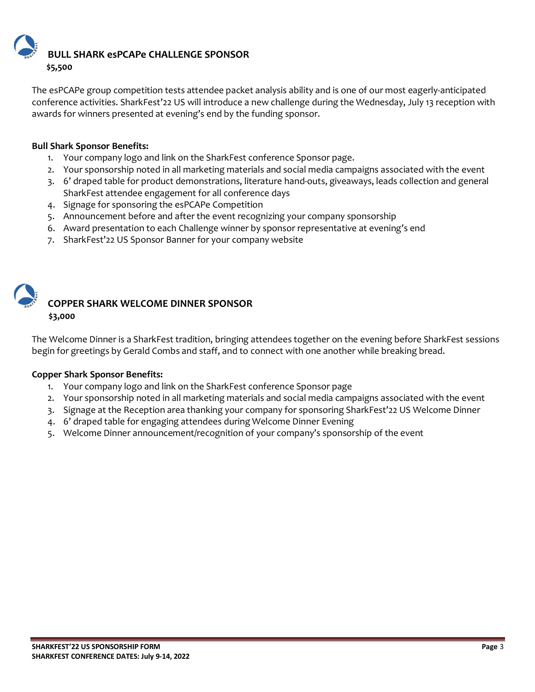**BULL SHARK esPCAPe CHALLENGE SPONSOR \$5,500** 

The esPCAPe group competition tests attendee packet analysis ability and is one of our most eagerly-anticipated conference activities. SharkFest'22 US will introduce a new challenge during the Wednesday, July 13 reception with awards for winners presented at evening's end by the funding sponsor.

#### **Bull Shark Sponsor Benefits:**

- 1. Your company logo and link on the SharkFest conference Sponsor page.
- 2. Your sponsorship noted in all marketing materials and social media campaigns associated with the event
- 3. 6' draped table for product demonstrations, literature hand-outs, giveaways, leads collection and general SharkFest attendee engagement for all conference days
- 4. Signage for sponsoring the esPCAPe Competition
- 5. Announcement before and after the event recognizing your company sponsorship
- 6. Award presentation to each Challenge winner by sponsor representative at evening's end
- 7. SharkFest'22 US Sponsor Banner for your company website



### **COPPER SHARK WELCOME DINNER SPONSOR \$3,000**

The Welcome Dinner is a SharkFest tradition, bringing attendees together on the evening before SharkFest sessions begin for greetings by Gerald Combs and staff, and to connect with one another while breaking bread.

#### **Copper Shark Sponsor Benefits:**

- 1. Your company logo and link on the SharkFest conference Sponsor page
- 2. Your sponsorship noted in all marketing materials and social media campaigns associated with the event
- 3. Signage at the Reception area thanking your company for sponsoring SharkFest'22 US Welcome Dinner
- 4. 6' draped table for engaging attendees during Welcome Dinner Evening
- 5. Welcome Dinner announcement/recognition of your company's sponsorship of the event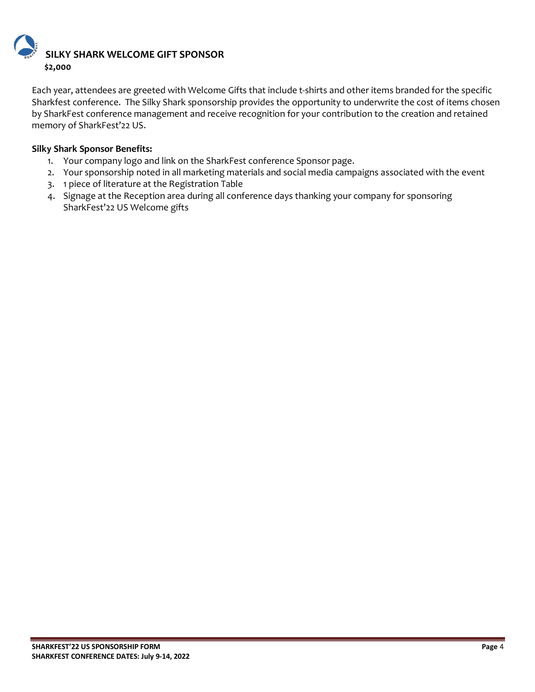

Each year, attendees are greeted with Welcome Gifts that include t-shirts and other items branded for the specific Sharkfest conference. The Silky Shark sponsorship provides the opportunity to underwrite the cost of items chosen by SharkFest conference management and receive recognition for your contribution to the creation and retained memory of SharkFest'22 US.

#### **Silky Shark Sponsor Benefits:**

- 1. Your company logo and link on the SharkFest conference Sponsor page.
- 2. Your sponsorship noted in all marketing materials and social media campaigns associated with the event
- 3. 1 piece of literature at the Registration Table
- 4. Signage at the Reception area during all conference days thanking your company for sponsoring SharkFest'22 US Welcome gifts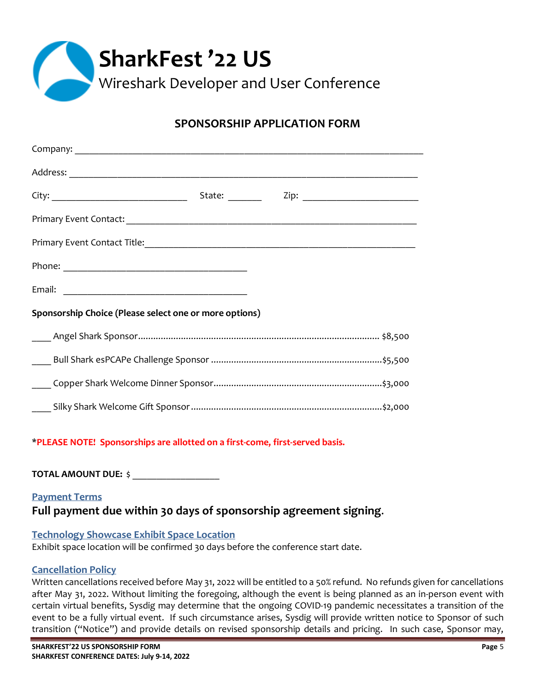

# **SPONSORSHIP APPLICATION FORM**

|                                                        | State: _______ |  |  |  |  |
|--------------------------------------------------------|----------------|--|--|--|--|
|                                                        |                |  |  |  |  |
|                                                        |                |  |  |  |  |
|                                                        |                |  |  |  |  |
|                                                        |                |  |  |  |  |
| Sponsorship Choice (Please select one or more options) |                |  |  |  |  |
|                                                        |                |  |  |  |  |
|                                                        |                |  |  |  |  |
|                                                        |                |  |  |  |  |
|                                                        |                |  |  |  |  |

#### \***PLEASE NOTE! Sponsorships are allotted on a first-come, first-served basis.**

**TOTAL AMOUNT DUE:** \$ \_\_\_\_\_\_\_\_\_\_\_\_\_\_\_\_\_\_

### **Payment Terms Full payment due within 30 days of sponsorship agreement signing**.

#### **Technology Showcase Exhibit Space Location**

Exhibit space location will be confirmed 30 days before the conference start date.

#### **Cancellation Policy**

Written cancellations received before May 31, 2022 will be entitled to a 50% refund. No refunds given for cancellations after May 31, 2022. Without limiting the foregoing, although the event is being planned as an in-person event with certain virtual benefits, Sysdig may determine that the ongoing COVID-19 pandemic necessitates a transition of the event to be a fully virtual event. If such circumstance arises, Sysdig will provide written notice to Sponsor of such transition ("Notice") and provide details on revised sponsorship details and pricing. In such case, Sponsor may,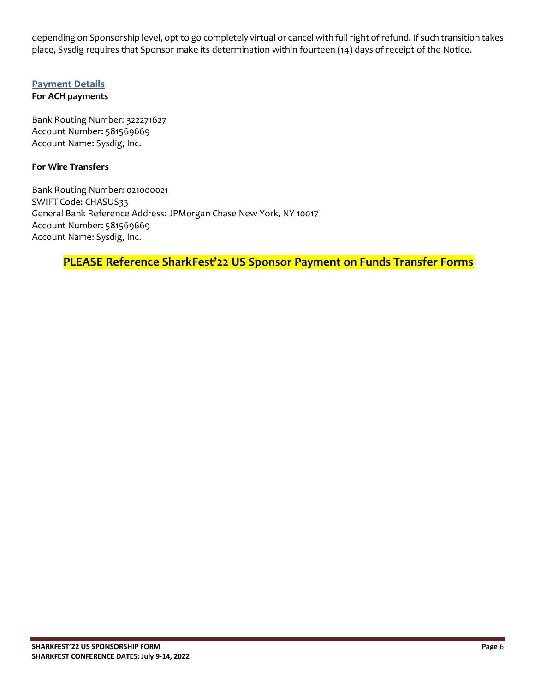depending on Sponsorship level, opt to go completely virtual or cancel with full right of refund. If such transition takes place, Sysdig requires that Sponsor make its determination within fourteen (14) days of receipt of the Notice.

#### **Payment Details**

#### **For ACH payments**

Bank Routing Number: 322271627 Account Number: 581569669 Account Name: Sysdig, Inc.

#### **For Wire Transfers**

Bank Routing Number: 021000021 SWIFT Code: CHASUS33 General Bank Reference Address: JPMorgan Chase New York, NY 10017 Account Number: 581569669 Account Name: Sysdig, Inc.

**PLEASE Reference SharkFest'22 US Sponsor Payment on Funds Transfer Forms**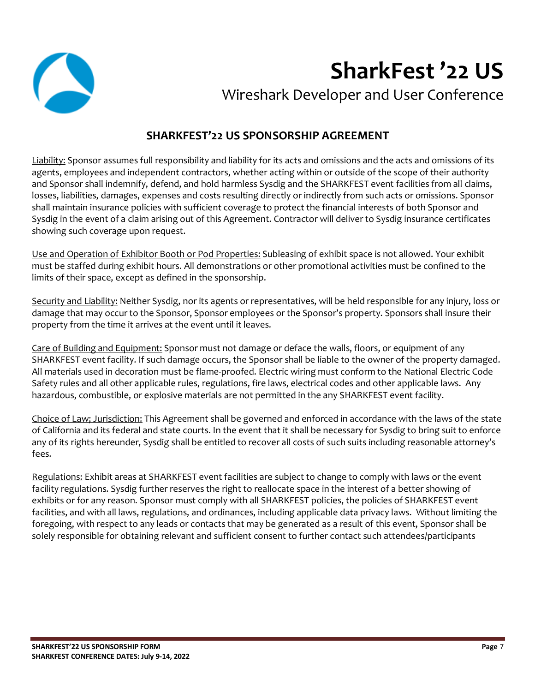

# **SharkFest '22 US**

Wireshark Developer and User Conference

# **SHARKFEST'22 US SPONSORSHIP AGREEMENT**

Liability: Sponsor assumes full responsibility and liability for its acts and omissions and the acts and omissions of its agents, employees and independent contractors, whether acting within or outside of the scope of their authority and Sponsor shall indemnify, defend, and hold harmless Sysdig and the SHARKFEST event facilities from all claims, losses, liabilities, damages, expenses and costs resulting directly or indirectly from such acts or omissions. Sponsor shall maintain insurance policies with sufficient coverage to protect the financial interests of both Sponsor and Sysdig in the event of a claim arising out of this Agreement. Contractor will deliver to Sysdig insurance certificates showing such coverage upon request.

Use and Operation of Exhibitor Booth or Pod Properties: Subleasing of exhibit space is not allowed. Your exhibit must be staffed during exhibit hours. All demonstrations or other promotional activities must be confined to the limits of their space, except as defined in the sponsorship.

Security and Liability: Neither Sysdig, nor its agents or representatives, will be held responsible for any injury, loss or damage that may occur to the Sponsor, Sponsor employees or the Sponsor's property. Sponsors shall insure their property from the time it arrives at the event until it leaves.

Care of Building and Equipment: Sponsor must not damage or deface the walls, floors, or equipment of any SHARKFEST event facility. If such damage occurs, the Sponsor shall be liable to the owner of the property damaged. All materials used in decoration must be flame-proofed. Electric wiring must conform to the National Electric Code Safety rules and all other applicable rules, regulations, fire laws, electrical codes and other applicable laws. Any hazardous, combustible, or explosive materials are not permitted in the any SHARKFEST event facility.

Choice of Law; Jurisdiction: This Agreement shall be governed and enforced in accordance with the laws of the state of California and its federal and state courts. In the event that it shall be necessary for Sysdig to bring suit to enforce any of its rights hereunder, Sysdig shall be entitled to recover all costs of such suits including reasonable attorney's fees.

Regulations: Exhibit areas at SHARKFEST event facilities are subject to change to comply with laws or the event facility regulations. Sysdig further reserves the right to reallocate space in the interest of a better showing of exhibits or for any reason. Sponsor must comply with all SHARKFEST policies, the policies of SHARKFEST event facilities, and with all laws, regulations, and ordinances, including applicable data privacy laws. Without limiting the foregoing, with respect to any leads or contacts that may be generated as a result of this event, Sponsor shall be solely responsible for obtaining relevant and sufficient consent to further contact such attendees/participants